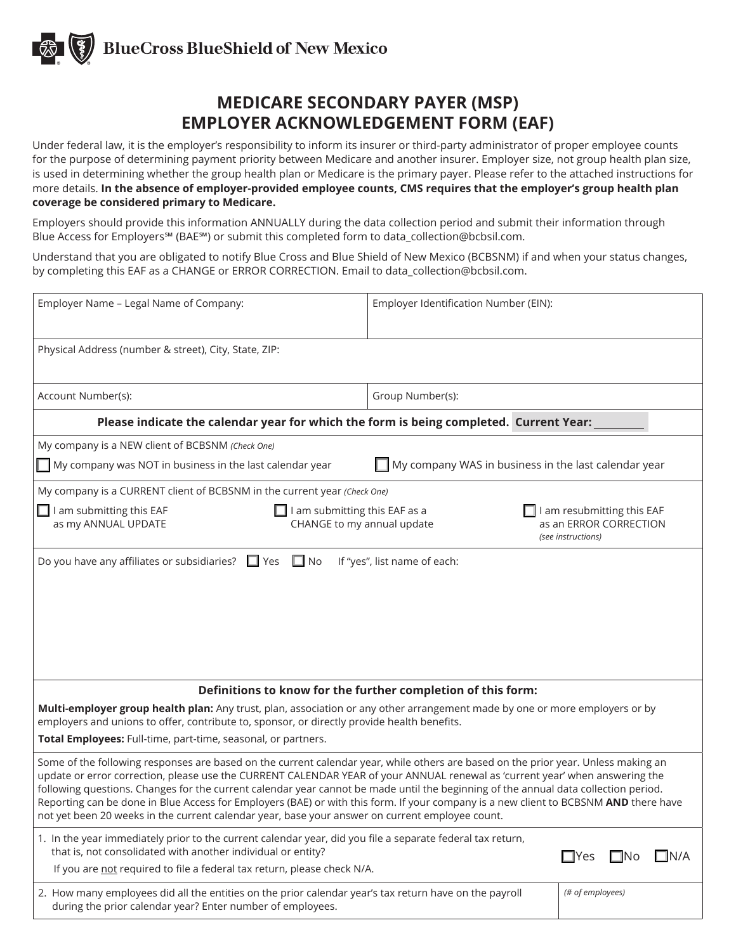### **MEDICARE SECONDARY PAYER (MSP) EMPLOYER ACKNOWLEDGEMENT FORM (EAF)**

Under federal law, it is the employer's responsibility to inform its insurer or third-party administrator of proper employee counts for the purpose of determining payment priority between Medicare and another insurer. Employer size, not group health plan size, is used in determining whether the group health plan or Medicare is the primary payer. Please refer to the attached instructions for more details. **In the absence of employer-provided employee counts, CMS requires that the employer's group health plan coverage be considered primary to Medicare.**

Employers should provide this information ANNUALLY during the data collection period and submit their information through Blue Access for Employers℠ (BAE℠) or submit this completed form to data\_collection@bcbsil.com.

Understand that you are obligated to notify Blue Cross and Blue Shield of New Mexico (BCBSNM) if and when your status changes, by completing this EAF as a CHANGE or ERROR CORRECTION. Email to data\_collection@bcbsil.com.

| Employer Name - Legal Name of Company:                                                                                                                                                                                                                                                                                                                                                                                                                                                                                                                                                                                                               | Employer Identification Number (EIN): |                             |  |  |  |
|------------------------------------------------------------------------------------------------------------------------------------------------------------------------------------------------------------------------------------------------------------------------------------------------------------------------------------------------------------------------------------------------------------------------------------------------------------------------------------------------------------------------------------------------------------------------------------------------------------------------------------------------------|---------------------------------------|-----------------------------|--|--|--|
| Physical Address (number & street), City, State, ZIP:                                                                                                                                                                                                                                                                                                                                                                                                                                                                                                                                                                                                |                                       |                             |  |  |  |
| Account Number(s):                                                                                                                                                                                                                                                                                                                                                                                                                                                                                                                                                                                                                                   | Group Number(s):                      |                             |  |  |  |
| Please indicate the calendar year for which the form is being completed. Current Year:                                                                                                                                                                                                                                                                                                                                                                                                                                                                                                                                                               |                                       |                             |  |  |  |
| My company is a NEW client of BCBSNM (Check One)                                                                                                                                                                                                                                                                                                                                                                                                                                                                                                                                                                                                     |                                       |                             |  |  |  |
| $\blacksquare$ My company WAS in business in the last calendar year<br>$\blacksquare$ My company was NOT in business in the last calendar year                                                                                                                                                                                                                                                                                                                                                                                                                                                                                                       |                                       |                             |  |  |  |
| My company is a CURRENT client of BCBSNM in the current year (Check One)                                                                                                                                                                                                                                                                                                                                                                                                                                                                                                                                                                             |                                       |                             |  |  |  |
| $\Box$ I am submitting this EAF<br>I am submitting this EAF as a<br>I am resubmitting this EAF<br>as an ERROR CORRECTION<br>as my ANNUAL UPDATE<br>CHANGE to my annual update<br>(see instructions)                                                                                                                                                                                                                                                                                                                                                                                                                                                  |                                       |                             |  |  |  |
|                                                                                                                                                                                                                                                                                                                                                                                                                                                                                                                                                                                                                                                      |                                       |                             |  |  |  |
| Definitions to know for the further completion of this form:                                                                                                                                                                                                                                                                                                                                                                                                                                                                                                                                                                                         |                                       |                             |  |  |  |
| Multi-employer group health plan: Any trust, plan, association or any other arrangement made by one or more employers or by<br>employers and unions to offer, contribute to, sponsor, or directly provide health benefits.                                                                                                                                                                                                                                                                                                                                                                                                                           |                                       |                             |  |  |  |
| Total Employees: Full-time, part-time, seasonal, or partners.                                                                                                                                                                                                                                                                                                                                                                                                                                                                                                                                                                                        |                                       |                             |  |  |  |
| Some of the following responses are based on the current calendar year, while others are based on the prior year. Unless making an<br>update or error correction, please use the CURRENT CALENDAR YEAR of your ANNUAL renewal as 'current year' when answering the<br>following questions. Changes for the current calendar year cannot be made until the beginning of the annual data collection period.<br>Reporting can be done in Blue Access for Employers (BAE) or with this form. If your company is a new client to BCBSNM AND there have<br>not yet been 20 weeks in the current calendar year, base your answer on current employee count. |                                       |                             |  |  |  |
| 1. In the year immediately prior to the current calendar year, did you file a separate federal tax return,<br>that is, not consolidated with another individual or entity?                                                                                                                                                                                                                                                                                                                                                                                                                                                                           |                                       | ΠN/A<br>$\Box$ Yes<br>L INO |  |  |  |
| If you are not required to file a federal tax return, please check N/A.                                                                                                                                                                                                                                                                                                                                                                                                                                                                                                                                                                              |                                       |                             |  |  |  |
| 2. How many employees did all the entities on the prior calendar year's tax return have on the payroll<br>during the prior calendar year? Enter number of employees.                                                                                                                                                                                                                                                                                                                                                                                                                                                                                 |                                       | (# of employees)            |  |  |  |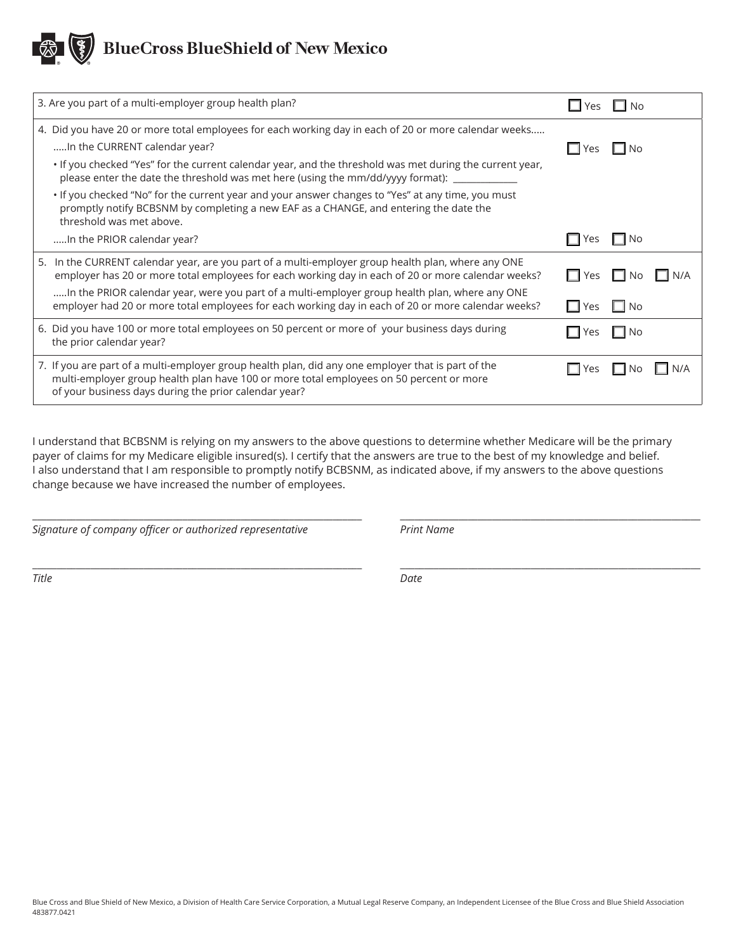| 3. Are you part of a multi-employer group health plan?                                                                                                                                                                                                 | $\Box$ Yes $\Box$    | No                                           |        |
|--------------------------------------------------------------------------------------------------------------------------------------------------------------------------------------------------------------------------------------------------------|----------------------|----------------------------------------------|--------|
| 4. Did you have 20 or more total employees for each working day in each of 20 or more calendar weeks<br>In the CURRENT calendar year?                                                                                                                  | L I Yes              | $\Box$ No                                    |        |
| . If you checked "Yes" for the current calendar year, and the threshold was met during the current year,<br>please enter the date the threshold was met here (using the mm/dd/yyyy format): ____________                                               |                      |                                              |        |
| . If you checked "No" for the current year and your answer changes to "Yes" at any time, you must<br>promptly notify BCBSNM by completing a new EAF as a CHANGE, and entering the date the<br>threshold was met above.                                 |                      |                                              |        |
| In the PRIOR calendar year?                                                                                                                                                                                                                            | $\Box$ Yes $\Box$ No |                                              |        |
| 5. In the CURRENT calendar year, are you part of a multi-employer group health plan, where any ONE<br>employer has 20 or more total employees for each working day in each of 20 or more calendar weeks?                                               | $\Box$ Yes $\Box$ No |                                              | I IN/A |
| In the PRIOR calendar year, were you part of a multi-employer group health plan, where any ONE<br>employer had 20 or more total employees for each working day in each of 20 or more calendar weeks?                                                   | $\Box$ Yes           | l INo                                        |        |
| 6. Did you have 100 or more total employees on 50 percent or more of your business days during<br>the prior calendar year?                                                                                                                             | l Yes                | $\blacksquare$ $\blacksquare$ $\blacksquare$ |        |
| 7. If you are part of a multi-employer group health plan, did any one employer that is part of the<br>multi-employer group health plan have 100 or more total employees on 50 percent or more<br>of your business days during the prior calendar year? | $\Box$ Yes           | I INO                                        | N/A    |

I understand that BCBSNM is relying on my answers to the above questions to determine whether Medicare will be the primary payer of claims for my Medicare eligible insured(s). I certify that the answers are true to the best of my knowledge and belief. I also understand that I am responsible to promptly notify BCBSNM, as indicated above, if my answers to the above questions change because we have increased the number of employees.

 $\_$  ,  $\_$  ,  $\_$  ,  $\_$  ,  $\_$  ,  $\_$  ,  $\_$  ,  $\_$  ,  $\_$  ,  $\_$  ,  $\_$  ,  $\_$  ,  $\_$  ,  $\_$  ,  $\_$  ,  $\_$  ,  $\_$  ,  $\_$  ,  $\_$  ,  $\_$  ,  $\_$ 

 $\_$  ,  $\_$  ,  $\_$  ,  $\_$  ,  $\_$  ,  $\_$  ,  $\_$  ,  $\_$  ,  $\_$  ,  $\_$  ,  $\_$  ,  $\_$  ,  $\_$  ,  $\_$  ,  $\_$  ,  $\_$  ,  $\_$  ,  $\_$  ,  $\_$  ,  $\_$  ,  $\_$ 

*Signature of company officer or authorized representative Print Name*

*Title Date*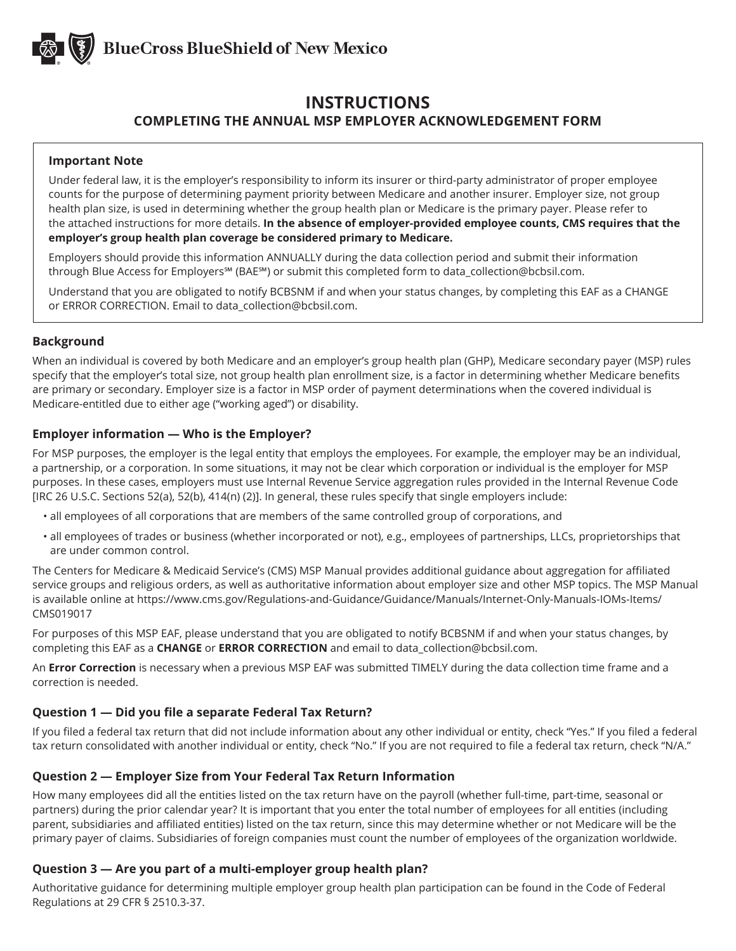

### **INSTRUCTIONS COMPLETING THE ANNUAL MSP EMPLOYER ACKNOWLEDGEMENT FORM**

#### **Important Note**

Under federal law, it is the employer's responsibility to inform its insurer or third-party administrator of proper employee counts for the purpose of determining payment priority between Medicare and another insurer. Employer size, not group health plan size, is used in determining whether the group health plan or Medicare is the primary payer. Please refer to the attached instructions for more details. **In the absence of employer-provided employee counts, CMS requires that the employer's group health plan coverage be considered primary to Medicare.**

Employers should provide this information ANNUALLY during the data collection period and submit their information through Blue Access for Employers℠ (BAE℠) or submit this completed form to data\_collection@bcbsil.com.

Understand that you are obligated to notify BCBSNM if and when your status changes, by completing this EAF as a CHANGE or ERROR CORRECTION. Email to data\_collection@bcbsil.com.

#### **Background**

When an individual is covered by both Medicare and an employer's group health plan (GHP), Medicare secondary payer (MSP) rules specify that the employer's total size, not group health plan enrollment size, is a factor in determining whether Medicare benefits are primary or secondary. Employer size is a factor in MSP order of payment determinations when the covered individual is Medicare-entitled due to either age ("working aged") or disability.

#### **Employer information — Who is the Employer?**

For MSP purposes, the employer is the legal entity that employs the employees. For example, the employer may be an individual, a partnership, or a corporation. In some situations, it may not be clear which corporation or individual is the employer for MSP purposes. In these cases, employers must use Internal Revenue Service aggregation rules provided in the Internal Revenue Code [IRC 26 U.S.C. Sections 52(a), 52(b), 414(n) (2)]. In general, these rules specify that single employers include:

- all employees of all corporations that are members of the same controlled group of corporations, and
- all employees of trades or business (whether incorporated or not), e.g., employees of partnerships, LLCs, proprietorships that are under common control.

The Centers for Medicare & Medicaid Service's (CMS) MSP Manual provides additional guidance about aggregation for affiliated service groups and religious orders, as well as authoritative information about employer size and other MSP topics. The MSP Manual is available online at https://www.cms.gov/Regulations-and-Guidance/Guidance/Manuals/Internet-Only-Manuals-IOMs-Items/ CMS019017

For purposes of this MSP EAF, please understand that you are obligated to notify BCBSNM if and when your status changes, by completing this EAF as a **CHANGE** or **ERROR CORRECTION** and email to data\_collection@bcbsil.com.

An **Error Correction** is necessary when a previous MSP EAF was submitted TIMELY during the data collection time frame and a correction is needed.

#### **Question 1 — Did you file a separate Federal Tax Return?**

If you filed a federal tax return that did not include information about any other individual or entity, check "Yes." If you filed a federal tax return consolidated with another individual or entity, check "No." If you are not required to file a federal tax return, check "N/A."

#### **Question 2 — Employer Size from Your Federal Tax Return Information**

How many employees did all the entities listed on the tax return have on the payroll (whether full-time, part-time, seasonal or partners) during the prior calendar year? It is important that you enter the total number of employees for all entities (including parent, subsidiaries and affiliated entities) listed on the tax return, since this may determine whether or not Medicare will be the primary payer of claims. Subsidiaries of foreign companies must count the number of employees of the organization worldwide.

#### **Question 3 — Are you part of a multi-employer group health plan?**

Authoritative guidance for determining multiple employer group health plan participation can be found in the Code of Federal Regulations at 29 CFR § 2510.3-37.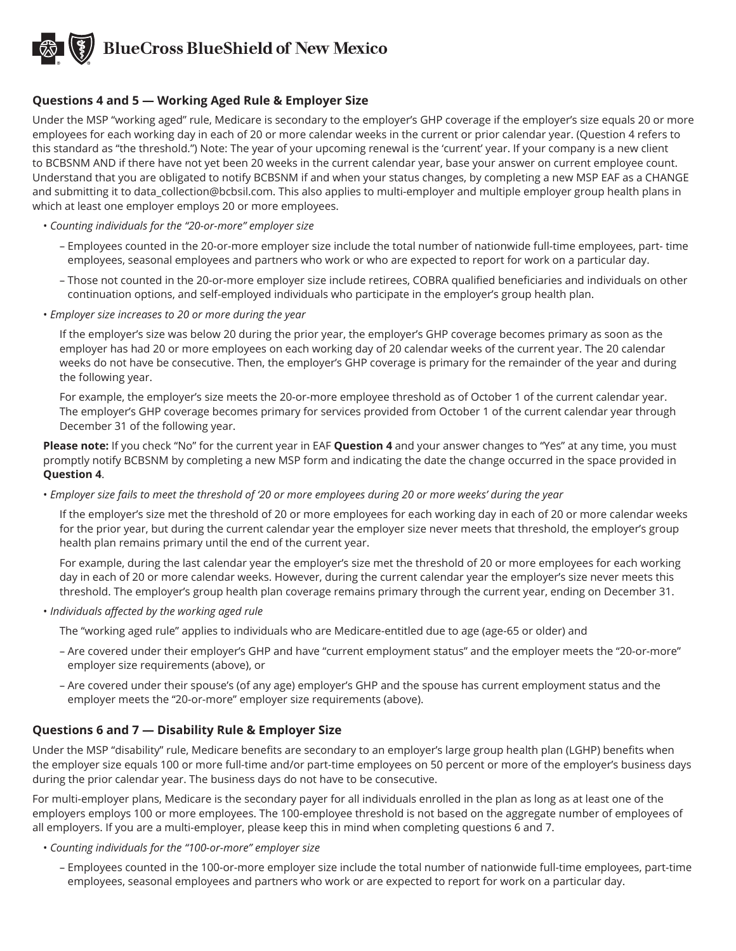#### **Questions 4 and 5 — Working Aged Rule & Employer Size**

Under the MSP "working aged" rule, Medicare is secondary to the employer's GHP coverage if the employer's size equals 20 or more employees for each working day in each of 20 or more calendar weeks in the current or prior calendar year. (Question 4 refers to this standard as "the threshold.") Note: The year of your upcoming renewal is the 'current' year. If your company is a new client to BCBSNM AND if there have not yet been 20 weeks in the current calendar year, base your answer on current employee count. Understand that you are obligated to notify BCBSNM if and when your status changes, by completing a new MSP EAF as a CHANGE and submitting it to data\_collection@bcbsil.com. This also applies to multi-employer and multiple employer group health plans in which at least one employer employs 20 or more employees.

- *Counting individuals for the "20-or-more" employer size*
	- Employees counted in the 20-or-more employer size include the total number of nationwide full-time employees, part- time employees, seasonal employees and partners who work or who are expected to report for work on a particular day.
	- Those not counted in the 20-or-more employer size include retirees, COBRA qualified beneficiaries and individuals on other continuation options, and self-employed individuals who participate in the employer's group health plan.
- *Employer size increases to 20 or more during the year*

If the employer's size was below 20 during the prior year, the employer's GHP coverage becomes primary as soon as the employer has had 20 or more employees on each working day of 20 calendar weeks of the current year. The 20 calendar weeks do not have be consecutive. Then, the employer's GHP coverage is primary for the remainder of the year and during the following year.

For example, the employer's size meets the 20-or-more employee threshold as of October 1 of the current calendar year. The employer's GHP coverage becomes primary for services provided from October 1 of the current calendar year through December 31 of the following year.

**Please note:** If you check "No" for the current year in EAF **Question 4** and your answer changes to "Yes" at any time, you must promptly notify BCBSNM by completing a new MSP form and indicating the date the change occurred in the space provided in **Question 4**.

• *Employer size fails to meet the threshold of '20 or more employees during 20 or more weeks' during the year*

If the employer's size met the threshold of 20 or more employees for each working day in each of 20 or more calendar weeks for the prior year, but during the current calendar year the employer size never meets that threshold, the employer's group health plan remains primary until the end of the current year.

For example, during the last calendar year the employer's size met the threshold of 20 or more employees for each working day in each of 20 or more calendar weeks. However, during the current calendar year the employer's size never meets this threshold. The employer's group health plan coverage remains primary through the current year, ending on December 31.

- *Individuals affected by the working aged rule*
	- The "working aged rule" applies to individuals who are Medicare-entitled due to age (age-65 or older) and
	- Are covered under their employer's GHP and have "current employment status" and the employer meets the "20-or-more" employer size requirements (above), or
	- Are covered under their spouse's (of any age) employer's GHP and the spouse has current employment status and the employer meets the "20-or-more" employer size requirements (above).

#### **Questions 6 and 7 — Disability Rule & Employer Size**

Under the MSP "disability" rule, Medicare benefits are secondary to an employer's large group health plan (LGHP) benefits when the employer size equals 100 or more full-time and/or part-time employees on 50 percent or more of the employer's business days during the prior calendar year. The business days do not have to be consecutive.

For multi-employer plans, Medicare is the secondary payer for all individuals enrolled in the plan as long as at least one of the employers employs 100 or more employees. The 100-employee threshold is not based on the aggregate number of employees of all employers. If you are a multi-employer, please keep this in mind when completing questions 6 and 7.

- *Counting individuals for the "100-or-more" employer size*
	- Employees counted in the 100-or-more employer size include the total number of nationwide full-time employees, part-time employees, seasonal employees and partners who work or are expected to report for work on a particular day.